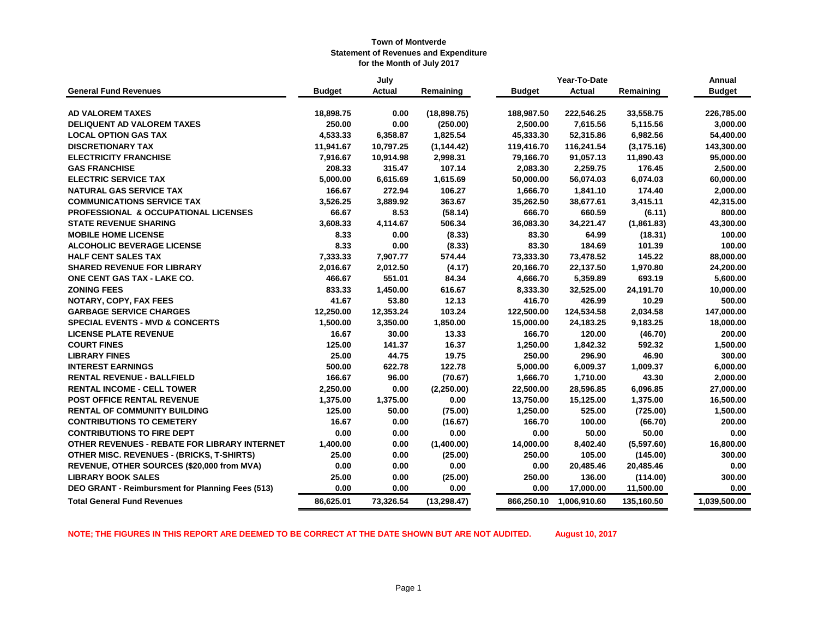|                                                  |               | July          |              |               |               | Annual      |               |
|--------------------------------------------------|---------------|---------------|--------------|---------------|---------------|-------------|---------------|
| <b>General Fund Revenues</b>                     | <b>Budget</b> | <b>Actual</b> | Remaining    | <b>Budget</b> | <b>Actual</b> | Remaining   | <b>Budget</b> |
| <b>AD VALOREM TAXES</b>                          | 18,898.75     | 0.00          | (18,898.75)  | 188,987.50    | 222,546.25    | 33,558.75   | 226,785.00    |
| <b>DELIQUENT AD VALOREM TAXES</b>                | 250.00        | 0.00          | (250.00)     | 2,500.00      | 7,615.56      | 5,115.56    | 3,000.00      |
| <b>LOCAL OPTION GAS TAX</b>                      | 4,533.33      | 6,358.87      | 1,825.54     | 45,333.30     | 52,315.86     | 6,982.56    | 54,400.00     |
| <b>DISCRETIONARY TAX</b>                         | 11,941.67     | 10,797.25     | (1, 144.42)  | 119,416.70    | 116,241.54    | (3, 175.16) | 143,300.00    |
| <b>ELECTRICITY FRANCHISE</b>                     | 7,916.67      | 10,914.98     | 2,998.31     | 79,166.70     | 91,057.13     | 11,890.43   | 95,000.00     |
| <b>GAS FRANCHISE</b>                             | 208.33        | 315.47        | 107.14       | 2,083.30      | 2,259.75      | 176.45      | 2,500.00      |
| <b>ELECTRIC SERVICE TAX</b>                      | 5,000.00      | 6,615.69      | 1,615.69     | 50,000.00     | 56,074.03     | 6,074.03    | 60,000.00     |
| <b>NATURAL GAS SERVICE TAX</b>                   | 166.67        | 272.94        | 106.27       | 1,666.70      | 1,841.10      | 174.40      | 2,000.00      |
| <b>COMMUNICATIONS SERVICE TAX</b>                | 3,526.25      | 3,889.92      | 363.67       | 35,262.50     | 38,677.61     | 3,415.11    | 42,315.00     |
| <b>PROFESSIONAL &amp; OCCUPATIONAL LICENSES</b>  | 66.67         | 8.53          | (58.14)      | 666.70        | 660.59        | (6.11)      | 800.00        |
| <b>STATE REVENUE SHARING</b>                     | 3,608.33      | 4,114.67      | 506.34       | 36,083.30     | 34,221.47     | (1,861.83)  | 43,300.00     |
| <b>MOBILE HOME LICENSE</b>                       | 8.33          | 0.00          | (8.33)       | 83.30         | 64.99         | (18.31)     | 100.00        |
| <b>ALCOHOLIC BEVERAGE LICENSE</b>                | 8.33          | 0.00          | (8.33)       | 83.30         | 184.69        | 101.39      | 100.00        |
| <b>HALF CENT SALES TAX</b>                       | 7,333.33      | 7,907.77      | 574.44       | 73,333.30     | 73,478.52     | 145.22      | 88,000.00     |
| <b>SHARED REVENUE FOR LIBRARY</b>                | 2,016.67      | 2,012.50      | (4.17)       | 20,166.70     | 22,137.50     | 1,970.80    | 24,200.00     |
| ONE CENT GAS TAX - LAKE CO.                      | 466.67        | 551.01        | 84.34        | 4,666.70      | 5,359.89      | 693.19      | 5,600.00      |
| <b>ZONING FEES</b>                               | 833.33        | 1,450.00      | 616.67       | 8,333.30      | 32,525.00     | 24,191.70   | 10,000.00     |
| NOTARY, COPY, FAX FEES                           | 41.67         | 53.80         | 12.13        | 416.70        | 426.99        | 10.29       | 500.00        |
| <b>GARBAGE SERVICE CHARGES</b>                   | 12,250.00     | 12,353.24     | 103.24       | 122,500.00    | 124,534.58    | 2,034.58    | 147,000.00    |
| <b>SPECIAL EVENTS - MVD &amp; CONCERTS</b>       | 1,500.00      | 3,350.00      | 1,850.00     | 15,000.00     | 24,183.25     | 9,183.25    | 18,000.00     |
| <b>LICENSE PLATE REVENUE</b>                     | 16.67         | 30.00         | 13.33        | 166.70        | 120.00        | (46.70)     | 200.00        |
| <b>COURT FINES</b>                               | 125.00        | 141.37        | 16.37        | 1,250.00      | 1,842.32      | 592.32      | 1,500.00      |
| <b>LIBRARY FINES</b>                             | 25.00         | 44.75         | 19.75        | 250.00        | 296.90        | 46.90       | 300.00        |
| <b>INTEREST EARNINGS</b>                         | 500.00        | 622.78        | 122.78       | 5,000.00      | 6,009.37      | 1,009.37    | 6,000.00      |
| <b>RENTAL REVENUE - BALLFIELD</b>                | 166.67        | 96.00         | (70.67)      | 1,666.70      | 1,710.00      | 43.30       | 2,000.00      |
| <b>RENTAL INCOME - CELL TOWER</b>                | 2,250.00      | 0.00          | (2, 250.00)  | 22,500.00     | 28,596.85     | 6,096.85    | 27,000.00     |
| POST OFFICE RENTAL REVENUE                       | 1,375.00      | 1,375.00      | 0.00         | 13,750.00     | 15,125.00     | 1,375.00    | 16,500.00     |
| <b>RENTAL OF COMMUNITY BUILDING</b>              | 125.00        | 50.00         | (75.00)      | 1,250.00      | 525.00        | (725.00)    | 1,500.00      |
| <b>CONTRIBUTIONS TO CEMETERY</b>                 | 16.67         | 0.00          | (16.67)      | 166.70        | 100.00        | (66.70)     | 200.00        |
| <b>CONTRIBUTIONS TO FIRE DEPT</b>                | 0.00          | 0.00          | 0.00         | 0.00          | 50.00         | 50.00       | 0.00          |
| OTHER REVENUES - REBATE FOR LIBRARY INTERNET     | 1,400.00      | 0.00          | (1,400.00)   | 14,000.00     | 8,402.40      | (5,597.60)  | 16,800.00     |
| <b>OTHER MISC. REVENUES - (BRICKS, T-SHIRTS)</b> | 25.00         | 0.00          | (25.00)      | 250.00        | 105.00        | (145.00)    | 300.00        |
| REVENUE, OTHER SOURCES (\$20,000 from MVA)       | 0.00          | 0.00          | 0.00         | 0.00          | 20,485.46     | 20,485.46   | 0.00          |
| <b>LIBRARY BOOK SALES</b>                        | 25.00         | 0.00          | (25.00)      | 250.00        | 136.00        | (114.00)    | 300.00        |
| DEO GRANT - Reimbursment for Planning Fees (513) | 0.00          | 0.00          | 0.00         | 0.00          | 17,000.00     | 11,500.00   | 0.00          |
| <b>Total General Fund Revenues</b>               | 86,625.01     | 73,326.54     | (13, 298.47) | 866,250.10    | 1,006,910.60  | 135,160.50  | 1,039,500.00  |

**NOTE; THE FIGURES IN THIS REPORT ARE DEEMED TO BE CORRECT AT THE DATE SHOWN BUT ARE NOT AUDITED. August 10, 2017**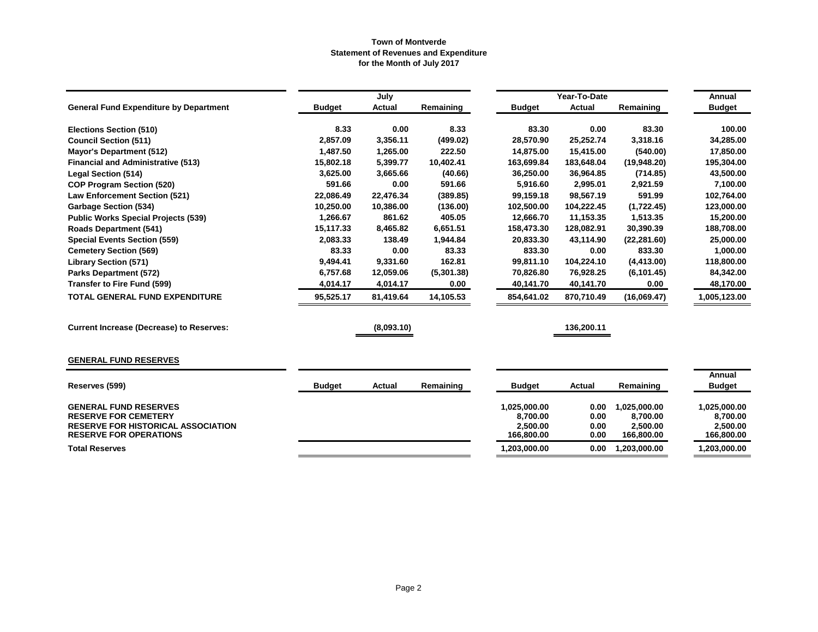|                                                                                                                                           |               | July       |            |                                                    | Year-To-Date                 |                                                    | Annual                                             |
|-------------------------------------------------------------------------------------------------------------------------------------------|---------------|------------|------------|----------------------------------------------------|------------------------------|----------------------------------------------------|----------------------------------------------------|
| <b>General Fund Expenditure by Department</b>                                                                                             | <b>Budget</b> | Actual     | Remaining  | <b>Budget</b>                                      | <b>Actual</b>                | Remaining                                          | <b>Budget</b>                                      |
| <b>Elections Section (510)</b>                                                                                                            | 8.33          | 0.00       | 8.33       | 83.30                                              | 0.00                         | 83.30                                              | 100.00                                             |
| <b>Council Section (511)</b>                                                                                                              | 2,857.09      | 3,356.11   | (499.02)   | 28,570.90                                          | 25,252.74                    | 3,318.16                                           | 34,285.00                                          |
| <b>Mayor's Department (512)</b>                                                                                                           | 1,487.50      | 1,265.00   | 222.50     | 14,875.00                                          | 15,415.00                    | (540.00)                                           | 17,850.00                                          |
| <b>Financial and Administrative (513)</b>                                                                                                 | 15,802.18     | 5,399.77   | 10,402.41  | 163,699.84                                         | 183,648.04                   | (19,948.20)                                        | 195,304.00                                         |
| <b>Legal Section (514)</b>                                                                                                                | 3,625.00      | 3,665.66   | (40.66)    | 36,250.00                                          | 36,964.85                    | (714.85)                                           | 43,500.00                                          |
| <b>COP Program Section (520)</b>                                                                                                          | 591.66        | 0.00       | 591.66     | 5,916.60                                           | 2,995.01                     | 2,921.59                                           | 7,100.00                                           |
| <b>Law Enforcement Section (521)</b>                                                                                                      | 22,086.49     | 22,476.34  | (389.85)   | 99,159.18                                          | 98,567.19                    | 591.99                                             | 102,764.00                                         |
| <b>Garbage Section (534)</b>                                                                                                              | 10,250.00     | 10,386.00  | (136.00)   | 102,500.00                                         | 104,222.45                   | (1,722.45)                                         | 123,000.00                                         |
| <b>Public Works Special Projects (539)</b>                                                                                                | 1,266.67      | 861.62     | 405.05     | 12,666.70                                          | 11,153.35                    | 1,513.35                                           | 15,200.00                                          |
| <b>Roads Department (541)</b>                                                                                                             | 15,117.33     | 8,465.82   | 6,651.51   | 158,473.30                                         | 128,082.91                   | 30,390.39                                          | 188,708.00                                         |
| <b>Special Events Section (559)</b>                                                                                                       | 2,083.33      | 138.49     | 1,944.84   | 20,833.30                                          | 43,114.90                    | (22, 281.60)                                       | 25,000.00                                          |
| <b>Cemetery Section (569)</b>                                                                                                             | 83.33         | 0.00       | 83.33      | 833.30                                             | 0.00                         | 833.30                                             | 1,000.00                                           |
| <b>Library Section (571)</b>                                                                                                              | 9,494.41      | 9,331.60   | 162.81     | 99,811.10                                          | 104,224.10                   | (4, 413.00)                                        | 118,800.00                                         |
| <b>Parks Department (572)</b>                                                                                                             | 6,757.68      | 12,059.06  | (5,301.38) | 70,826.80                                          | 76,928.25                    | (6, 101.45)                                        | 84,342.00                                          |
| <b>Transfer to Fire Fund (599)</b>                                                                                                        | 4,014.17      | 4,014.17   | 0.00       | 40,141.70                                          | 40,141.70                    | 0.00                                               | 48,170.00                                          |
| <b>TOTAL GENERAL FUND EXPENDITURE</b>                                                                                                     | 95,525.17     | 81,419.64  | 14,105.53  | 854,641.02                                         | 870,710.49                   | (16,069.47)                                        | 1,005,123.00                                       |
| <b>Current Increase (Decrease) to Reserves:</b>                                                                                           |               | (8,093.10) |            |                                                    | 136,200.11                   |                                                    |                                                    |
| <b>GENERAL FUND RESERVES</b>                                                                                                              |               |            |            |                                                    |                              |                                                    |                                                    |
|                                                                                                                                           |               |            |            |                                                    |                              |                                                    | <b>Annual</b>                                      |
| Reserves (599)                                                                                                                            | <b>Budget</b> | Actual     | Remaining  | <b>Budget</b>                                      | Actual                       | Remaining                                          | <b>Budget</b>                                      |
| <b>GENERAL FUND RESERVES</b><br><b>RESERVE FOR CEMETERY</b><br><b>RESERVE FOR HISTORICAL ASSOCIATION</b><br><b>RESERVE FOR OPERATIONS</b> |               |            |            | 1,025,000.00<br>8,700.00<br>2,500.00<br>166,800.00 | 0.00<br>0.00<br>0.00<br>0.00 | 1,025,000.00<br>8,700.00<br>2,500.00<br>166,800.00 | 1,025,000.00<br>8,700.00<br>2,500.00<br>166,800.00 |
| <b>Total Reserves</b>                                                                                                                     |               |            |            | 1,203,000.00                                       | 0.00                         | 1,203,000.00                                       | 1,203,000.00                                       |
|                                                                                                                                           |               |            |            |                                                    |                              |                                                    |                                                    |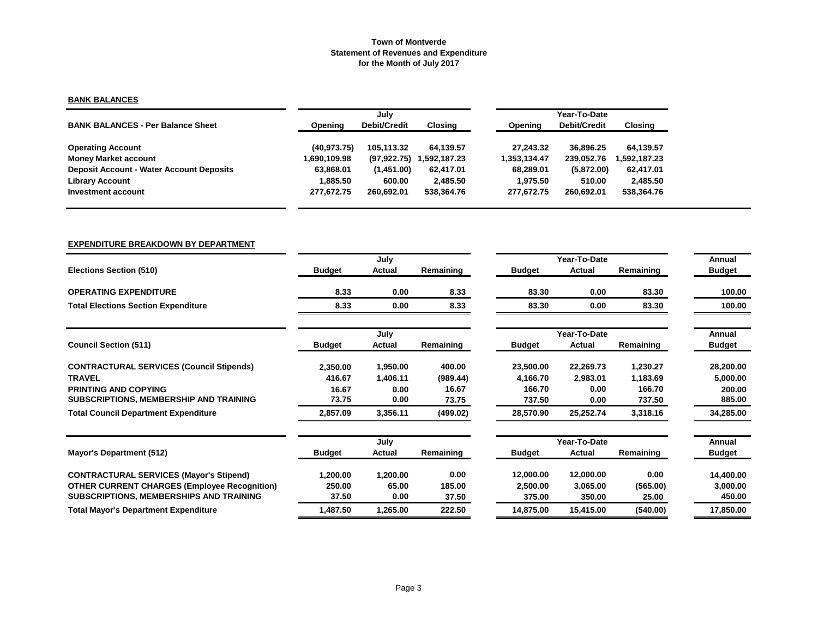## **BANK BALANCES**

|                                                 |                | July                |               |              | Year-To-Date |                |  |  |  |
|-------------------------------------------------|----------------|---------------------|---------------|--------------|--------------|----------------|--|--|--|
| <b>BANK BALANCES - Per Balance Sheet</b>        | <b>Opening</b> | <b>Debit/Credit</b> | Closing       | Opening      | Debit/Credit | <b>Closing</b> |  |  |  |
| <b>Operating Account</b>                        | (40, 973.75)   | 105.113.32          | 64.139.57     | 27.243.32    | 36.896.25    | 64.139.57      |  |  |  |
| <b>Money Market account</b>                     | 890.109.98 ا   | (97, 922.75)        | 592,187.23. ا | 1,353,134.47 | 239,052.76   | .592,187.23    |  |  |  |
| <b>Deposit Account - Water Account Deposits</b> | 63.868.01      | (1,451.00)          | 62,417.01     | 68.289.01    | (5,872.00)   | 62.417.01      |  |  |  |
| <b>Library Account</b>                          | 1.885.50       | 600.00              | 2.485.50      | 1.975.50     | 510.00       | 2,485.50       |  |  |  |
| Investment account                              | 277.672.75     | 260.692.01          | 538,364.76    | 277.672.75   | 260.692.01   | 538,364.76     |  |  |  |

#### **EXPENDITURE BREAKDOWN BY DEPARTMENT**

|                                                     |               | July     |           |               | Year-To-Date |           | Annual        |
|-----------------------------------------------------|---------------|----------|-----------|---------------|--------------|-----------|---------------|
| <b>Elections Section (510)</b>                      | <b>Budget</b> | Actual   | Remaining | <b>Budget</b> | Actual       | Remaining | <b>Budget</b> |
| <b>OPERATING EXPENDITURE</b>                        | 8.33          | 0.00     | 8.33      | 83.30         | 0.00         | 83.30     | 100.00        |
| <b>Total Elections Section Expenditure</b>          | 8.33          | 0.00     | 8.33      | 83.30         | 0.00         | 83.30     | 100.00        |
|                                                     |               | July     |           |               | Year-To-Date |           | Annual        |
| <b>Council Section (511)</b>                        | <b>Budget</b> | Actual   | Remaining | <b>Budget</b> | Actual       | Remaining | <b>Budget</b> |
| <b>CONTRACTURAL SERVICES (Council Stipends)</b>     | 2,350.00      | 1,950.00 | 400.00    | 23,500.00     | 22,269.73    | 1,230.27  | 28,200.00     |
| <b>TRAVEL</b>                                       | 416.67        | 1,406.11 | (989.44)  | 4,166.70      | 2,983.01     | 1,183.69  | 5,000.00      |
| <b>PRINTING AND COPYING</b>                         | 16.67         | 0.00     | 16.67     | 166.70        | 0.00         | 166.70    | 200.00        |
| SUBSCRIPTIONS, MEMBERSHIP AND TRAINING              | 73.75         | 0.00     | 73.75     | 737.50        | 0.00         | 737.50    | 885.00        |
| <b>Total Council Department Expenditure</b>         | 2,857.09      | 3,356.11 | (499.02)  | 28,570.90     | 25,252.74    | 3,318.16  | 34,285.00     |
|                                                     |               | July     |           |               | Year-To-Date |           | Annual        |
| <b>Mayor's Department (512)</b>                     | <b>Budget</b> | Actual   | Remaining | <b>Budget</b> | Actual       | Remaining | <b>Budget</b> |
| <b>CONTRACTURAL SERVICES (Mayor's Stipend)</b>      | 1,200.00      | 1,200.00 | 0.00      | 12,000.00     | 12,000.00    | 0.00      | 14,400.00     |
| <b>OTHER CURRENT CHARGES (Employee Recognition)</b> | 250.00        | 65.00    | 185.00    | 2,500.00      | 3,065.00     | (565.00)  | 3,000.00      |
| <b>SUBSCRIPTIONS, MEMBERSHIPS AND TRAINING</b>      | 37.50         | 0.00     | 37.50     | 375.00        | 350.00       | 25.00     | 450.00        |
| <b>Total Mayor's Department Expenditure</b>         | 1,487.50      | 1,265.00 | 222.50    | 14,875.00     | 15,415.00    | (540.00)  | 17,850.00     |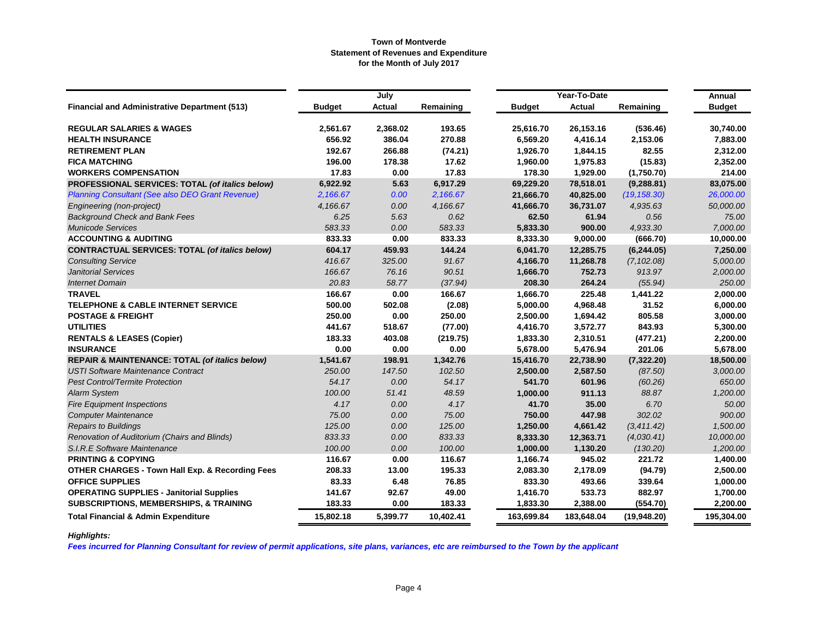|                                                            |               | July     |           |               | Year-To-Date |              | Annual        |
|------------------------------------------------------------|---------------|----------|-----------|---------------|--------------|--------------|---------------|
| <b>Financial and Administrative Department (513)</b>       | <b>Budget</b> | Actual   | Remaining | <b>Budget</b> | Actual       | Remaining    | <b>Budget</b> |
| <b>REGULAR SALARIES &amp; WAGES</b>                        | 2,561.67      | 2,368.02 | 193.65    | 25,616.70     | 26,153.16    | (536.46)     | 30,740.00     |
| <b>HEALTH INSURANCE</b>                                    | 656.92        | 386.04   | 270.88    | 6,569.20      | 4,416.14     | 2,153.06     | 7,883.00      |
| <b>RETIREMENT PLAN</b>                                     | 192.67        | 266.88   | (74.21)   | 1,926.70      | 1,844.15     | 82.55        | 2,312.00      |
| <b>FICA MATCHING</b>                                       | 196.00        | 178.38   | 17.62     | 1,960.00      | 1,975.83     | (15.83)      | 2,352.00      |
| <b>WORKERS COMPENSATION</b>                                | 17.83         | 0.00     | 17.83     | 178.30        | 1,929.00     | (1,750.70)   | 214.00        |
| PROFESSIONAL SERVICES: TOTAL (of italics below)            | 6,922.92      | 5.63     | 6,917.29  | 69,229.20     | 78,518.01    | (9, 288.81)  | 83,075.00     |
| <b>Planning Consultant (See also DEO Grant Revenue)</b>    | 2,166.67      | 0.00     | 2,166.67  | 21,666.70     | 40,825.00    | (19, 158.30) | 26,000.00     |
| Engineering (non-project)                                  | 4,166.67      | 0.00     | 4,166.67  | 41,666.70     | 36,731.07    | 4,935.63     | 50,000.00     |
| <b>Background Check and Bank Fees</b>                      | 6.25          | 5.63     | 0.62      | 62.50         | 61.94        | 0.56         | 75.00         |
| <b>Municode Services</b>                                   | 583.33        | 0.00     | 583.33    | 5,833.30      | 900.00       | 4.933.30     | 7,000.00      |
| <b>ACCOUNTING &amp; AUDITING</b>                           | 833.33        | 0.00     | 833.33    | 8,333.30      | 9,000.00     | (666.70)     | 10,000.00     |
| <b>CONTRACTUAL SERVICES: TOTAL (of italics below)</b>      | 604.17        | 459.93   | 144.24    | 6,041.70      | 12,285.75    | (6, 244.05)  | 7,250.00      |
| <b>Consulting Service</b>                                  | 416.67        | 325.00   | 91.67     | 4,166.70      | 11,268.78    | (7, 102.08)  | 5,000.00      |
| <b>Janitorial Services</b>                                 | 166.67        | 76.16    | 90.51     | 1,666.70      | 752.73       | 913.97       | 2,000.00      |
| <b>Internet Domain</b>                                     | 20.83         | 58.77    | (37.94)   | 208.30        | 264.24       | (55.94)      | 250.00        |
| <b>TRAVEL</b>                                              | 166.67        | 0.00     | 166.67    | 1,666.70      | 225.48       | 1,441.22     | 2,000.00      |
| <b>TELEPHONE &amp; CABLE INTERNET SERVICE</b>              | 500.00        | 502.08   | (2.08)    | 5,000.00      | 4,968.48     | 31.52        | 6,000.00      |
| <b>POSTAGE &amp; FREIGHT</b>                               | 250.00        | 0.00     | 250.00    | 2,500.00      | 1,694.42     | 805.58       | 3,000.00      |
| <b>UTILITIES</b>                                           | 441.67        | 518.67   | (77.00)   | 4,416.70      | 3,572.77     | 843.93       | 5,300.00      |
| <b>RENTALS &amp; LEASES (Copier)</b>                       | 183.33        | 403.08   | (219.75)  | 1,833.30      | 2,310.51     | (477.21)     | 2,200.00      |
| <b>INSURANCE</b>                                           | 0.00          | 0.00     | 0.00      | 5,678.00      | 5,476.94     | 201.06       | 5,678.00      |
| <b>REPAIR &amp; MAINTENANCE: TOTAL (of italics below)</b>  | 1,541.67      | 198.91   | 1,342.76  | 15,416.70     | 22,738.90    | (7,322.20)   | 18,500.00     |
| <b>USTI Software Maintenance Contract</b>                  | 250.00        | 147.50   | 102.50    | 2,500.00      | 2,587.50     | (87.50)      | 3,000.00      |
| <b>Pest Control/Termite Protection</b>                     | 54.17         | 0.00     | 54.17     | 541.70        | 601.96       | (60.26)      | 650.00        |
| <b>Alarm System</b>                                        | 100.00        | 51.41    | 48.59     | 1,000.00      | 911.13       | 88.87        | 1,200.00      |
| <b>Fire Equipment Inspections</b>                          | 4.17          | 0.00     | 4.17      | 41.70         | 35.00        | 6.70         | 50.00         |
| <b>Computer Maintenance</b>                                | 75.00         | 0.00     | 75.00     | 750.00        | 447.98       | 302.02       | 900.00        |
| <b>Repairs to Buildings</b>                                | 125.00        | 0.00     | 125.00    | 1,250.00      | 4,661.42     | (3, 411.42)  | 1,500.00      |
| Renovation of Auditorium (Chairs and Blinds)               | 833.33        | 0.00     | 833.33    | 8,333.30      | 12,363.71    | (4,030.41)   | 10,000.00     |
| S.I.R.E Software Maintenance                               | 100.00        | 0.00     | 100.00    | 1,000.00      | 1,130.20     | (130.20)     | 1,200.00      |
| <b>PRINTING &amp; COPYING</b>                              | 116.67        | 0.00     | 116.67    | 1,166.74      | 945.02       | 221.72       | 1,400.00      |
| <b>OTHER CHARGES - Town Hall Exp. &amp; Recording Fees</b> | 208.33        | 13.00    | 195.33    | 2,083.30      | 2,178.09     | (94.79)      | 2,500.00      |
| <b>OFFICE SUPPLIES</b>                                     | 83.33         | 6.48     | 76.85     | 833.30        | 493.66       | 339.64       | 1,000.00      |
| <b>OPERATING SUPPLIES - Janitorial Supplies</b>            | 141.67        | 92.67    | 49.00     | 1,416.70      | 533.73       | 882.97       | 1,700.00      |
| <b>SUBSCRIPTIONS, MEMBERSHIPS, &amp; TRAINING</b>          | 183.33        | 0.00     | 183.33    | 1,833.30      | 2,388.00     | (554.70)     | 2,200.00      |
| <b>Total Financial &amp; Admin Expenditure</b>             | 15,802.18     | 5,399.77 | 10,402.41 | 163,699.84    | 183,648.04   | (19,948.20)  | 195,304.00    |

# *Highlights:*

*Fees incurred for Planning Consultant for review of permit applications, site plans, variances, etc are reimbursed to the Town by the applicant*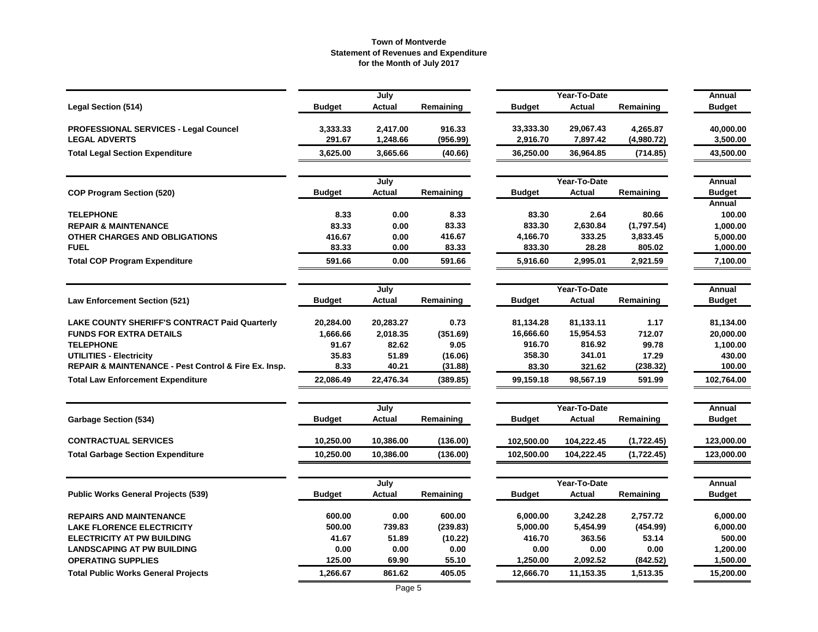|                                                      |               | July          |           |               | Year-To-Date  |            | Annual        |
|------------------------------------------------------|---------------|---------------|-----------|---------------|---------------|------------|---------------|
| <b>Legal Section (514)</b>                           | <b>Budget</b> | <b>Actual</b> | Remaining | Budget        | <b>Actual</b> | Remaining  | <b>Budget</b> |
| <b>PROFESSIONAL SERVICES - Legal Councel</b>         | 3,333.33      | 2,417.00      | 916.33    | 33,333.30     | 29,067.43     | 4,265.87   | 40,000.00     |
| <b>LEGAL ADVERTS</b>                                 | 291.67        | 1,248.66      | (956.99)  | 2,916.70      | 7,897.42      | (4,980.72) | 3,500.00      |
| <b>Total Legal Section Expenditure</b>               | 3,625.00      | 3,665.66      | (40.66)   | 36,250.00     | 36,964.85     | (714.85)   | 43,500.00     |
|                                                      |               | July          |           |               | Year-To-Date  |            | Annual        |
| <b>COP Program Section (520)</b>                     | <b>Budget</b> | <b>Actual</b> | Remaining | <b>Budget</b> | <b>Actual</b> | Remaining  | <b>Budget</b> |
|                                                      |               |               |           |               |               |            | Annual        |
| <b>TELEPHONE</b>                                     | 8.33          | 0.00          | 8.33      | 83.30         | 2.64          | 80.66      | 100.00        |
| <b>REPAIR &amp; MAINTENANCE</b>                      | 83.33         | 0.00          | 83.33     | 833.30        | 2,630.84      | (1,797.54) | 1,000.00      |
| OTHER CHARGES AND OBLIGATIONS                        | 416.67        | 0.00          | 416.67    | 4,166.70      | 333.25        | 3,833.45   | 5,000.00      |
| <b>FUEL</b>                                          | 83.33         | 0.00          | 83.33     | 833.30        | 28.28         | 805.02     | 1,000.00      |
| <b>Total COP Program Expenditure</b>                 | 591.66        | 0.00          | 591.66    | 5,916.60      | 2,995.01      | 2,921.59   | 7,100.00      |
|                                                      |               | July          |           |               | Year-To-Date  |            | Annual        |
| <b>Law Enforcement Section (521)</b>                 | <b>Budget</b> | Actual        | Remaining | <b>Budget</b> | <b>Actual</b> | Remaining  | <b>Budget</b> |
| <b>LAKE COUNTY SHERIFF'S CONTRACT Paid Quarterly</b> | 20,284.00     | 20,283.27     | 0.73      | 81,134.28     | 81,133.11     | 1.17       | 81,134.00     |
| <b>FUNDS FOR EXTRA DETAILS</b>                       | 1,666.66      | 2,018.35      | (351.69)  | 16,666.60     | 15,954.53     | 712.07     | 20,000.00     |
| <b>TELEPHONE</b>                                     | 91.67         | 82.62         | 9.05      | 916.70        | 816.92        | 99.78      | 1,100.00      |
| <b>UTILITIES - Electricity</b>                       | 35.83         | 51.89         | (16.06)   | 358.30        | 341.01        | 17.29      | 430.00        |
| REPAIR & MAINTENANCE - Pest Control & Fire Ex. Insp. | 8.33          | 40.21         | (31.88)   | 83.30         | 321.62        | (238.32)   | 100.00        |
| <b>Total Law Enforcement Expenditure</b>             | 22,086.49     | 22,476.34     | (389.85)  | 99,159.18     | 98,567.19     | 591.99     | 102,764.00    |
|                                                      |               | July          |           |               | Year-To-Date  |            | Annual        |
| <b>Garbage Section (534)</b>                         | Budget        | <b>Actual</b> | Remaining | <b>Budget</b> | Actual        | Remaining  | <b>Budget</b> |
| <b>CONTRACTUAL SERVICES</b>                          | 10,250.00     | 10,386.00     | (136.00)  | 102,500.00    | 104,222.45    | (1,722.45) | 123,000.00    |
| <b>Total Garbage Section Expenditure</b>             | 10,250.00     | 10,386.00     | (136.00)  | 102,500.00    | 104,222.45    | (1,722.45) | 123,000.00    |
|                                                      |               | July          |           |               | Year-To-Date  |            | Annual        |
| <b>Public Works General Projects (539)</b>           | Budget        | Actual        | Remaining | <b>Budget</b> | Actual        | Remaining  | <b>Budget</b> |
| <b>REPAIRS AND MAINTENANCE</b>                       | 600.00        | 0.00          | 600.00    | 6,000.00      | 3,242.28      | 2,757.72   | 6,000.00      |
| <b>LAKE FLORENCE ELECTRICITY</b>                     | 500.00        | 739.83        | (239.83)  | 5,000.00      | 5,454.99      | (454.99)   | 6,000.00      |
| <b>ELECTRICITY AT PW BUILDING</b>                    | 41.67         | 51.89         | (10.22)   | 416.70        | 363.56        | 53.14      | 500.00        |
| <b>LANDSCAPING AT PW BUILDING</b>                    | 0.00          | 0.00          | 0.00      | 0.00          | 0.00          | 0.00       | 1,200.00      |
| <b>OPERATING SUPPLIES</b>                            | 125.00        | 69.90         | 55.10     | 1,250.00      | 2,092.52      | (842.52)   | 1,500.00      |
| <b>Total Public Works General Projects</b>           | 1,266.67      | 861.62        | 405.05    | 12,666.70     | 11,153.35     | 1,513.35   | 15,200.00     |
|                                                      |               |               |           |               |               |            |               |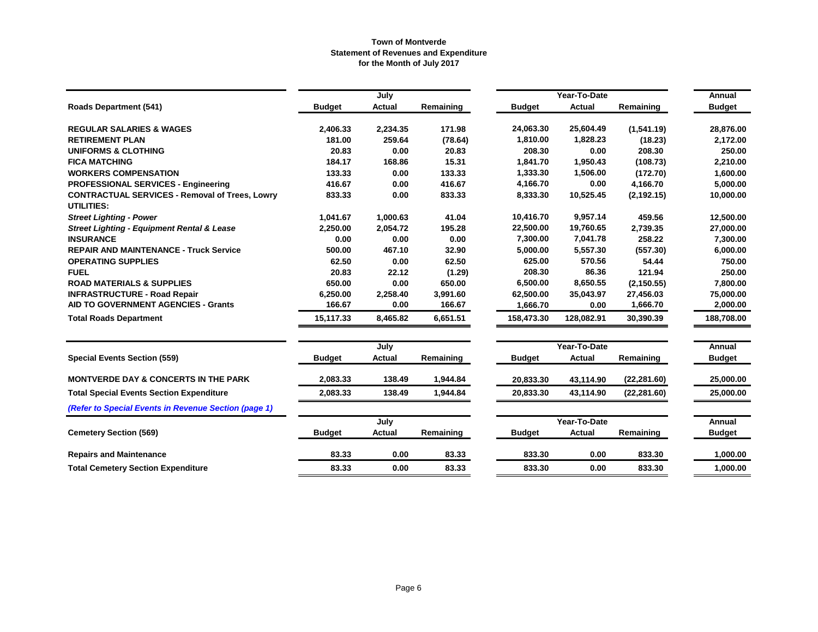|                                                                     |               | July     |           |               | Year-To-Date  |              | Annual        |
|---------------------------------------------------------------------|---------------|----------|-----------|---------------|---------------|--------------|---------------|
| <b>Roads Department (541)</b>                                       | <b>Budget</b> | Actual   | Remaining | <b>Budget</b> | <b>Actual</b> | Remaining    | <b>Budget</b> |
| <b>REGULAR SALARIES &amp; WAGES</b>                                 | 2,406.33      | 2,234.35 | 171.98    | 24,063.30     | 25,604.49     | (1,541.19)   | 28,876.00     |
| <b>RETIREMENT PLAN</b>                                              | 181.00        | 259.64   | (78.64)   | 1,810.00      | 1,828.23      | (18.23)      | 2,172.00      |
| <b>UNIFORMS &amp; CLOTHING</b>                                      | 20.83         | 0.00     | 20.83     | 208.30        | 0.00          | 208.30       | 250.00        |
| <b>FICA MATCHING</b>                                                | 184.17        | 168.86   | 15.31     | 1,841.70      | 1,950.43      | (108.73)     | 2,210.00      |
| <b>WORKERS COMPENSATION</b>                                         | 133.33        | 0.00     | 133.33    | 1,333.30      | 1,506.00      | (172.70)     | 1,600.00      |
| <b>PROFESSIONAL SERVICES - Engineering</b>                          | 416.67        | 0.00     | 416.67    | 4,166.70      | 0.00          | 4,166.70     | 5,000.00      |
| <b>CONTRACTUAL SERVICES - Removal of Trees, Lowry</b><br>UTILITIES: | 833.33        | 0.00     | 833.33    | 8,333.30      | 10,525.45     | (2, 192.15)  | 10,000.00     |
| <b>Street Lighting - Power</b>                                      | 1,041.67      | 1,000.63 | 41.04     | 10,416.70     | 9,957.14      | 459.56       | 12,500.00     |
| <b>Street Lighting - Equipment Rental &amp; Lease</b>               | 2,250.00      | 2,054.72 | 195.28    | 22,500.00     | 19,760.65     | 2,739.35     | 27,000.00     |
| <b>INSURANCE</b>                                                    | 0.00          | 0.00     | 0.00      | 7,300.00      | 7,041.78      | 258.22       | 7,300.00      |
| <b>REPAIR AND MAINTENANCE - Truck Service</b>                       | 500.00        | 467.10   | 32.90     | 5,000.00      | 5,557.30      | (557.30)     | 6,000.00      |
| <b>OPERATING SUPPLIES</b>                                           | 62.50         | 0.00     | 62.50     | 625.00        | 570.56        | 54.44        | 750.00        |
| <b>FUEL</b>                                                         | 20.83         | 22.12    | (1.29)    | 208.30        | 86.36         | 121.94       | 250.00        |
| <b>ROAD MATERIALS &amp; SUPPLIES</b>                                | 650.00        | 0.00     | 650.00    | 6,500.00      | 8,650.55      | (2, 150.55)  | 7,800.00      |
| <b>INFRASTRUCTURE - Road Repair</b>                                 | 6,250.00      | 2,258.40 | 3,991.60  | 62,500.00     | 35,043.97     | 27,456.03    | 75,000.00     |
| AID TO GOVERNMENT AGENCIES - Grants                                 | 166.67        | 0.00     | 166.67    | 1,666.70      | 0.00          | 1,666.70     | 2,000.00      |
| <b>Total Roads Department</b>                                       | 15,117.33     | 8,465.82 | 6,651.51  | 158,473.30    | 128,082.91    | 30,390.39    | 188,708.00    |
|                                                                     |               | July     |           | Year-To-Date  |               | Annual       |               |
| <b>Special Events Section (559)</b>                                 | <b>Budget</b> | Actual   | Remaining | <b>Budget</b> | Actual        | Remaining    | <b>Budget</b> |
| <b>MONTVERDE DAY &amp; CONCERTS IN THE PARK</b>                     | 2,083.33      | 138.49   | 1,944.84  | 20,833.30     | 43,114.90     | (22, 281.60) | 25,000.00     |
| <b>Total Special Events Section Expenditure</b>                     | 2,083.33      | 138.49   | 1,944.84  | 20,833.30     | 43,114.90     | (22, 281.60) | 25,000.00     |
| (Refer to Special Events in Revenue Section (page 1)                |               |          |           |               |               |              |               |
|                                                                     |               | July     |           |               | Year-To-Date  |              | Annual        |
| <b>Cemetery Section (569)</b>                                       | <b>Budget</b> | Actual   | Remaining | <b>Budget</b> | <b>Actual</b> | Remaining    | <b>Budget</b> |
| <b>Repairs and Maintenance</b>                                      | 83.33         | 0.00     | 83.33     | 833.30        | 0.00          | 833.30       | 1,000.00      |
| <b>Total Cemetery Section Expenditure</b>                           | 83.33         | 0.00     | 83.33     | 833.30        | 0.00          | 833.30       | 1,000.00      |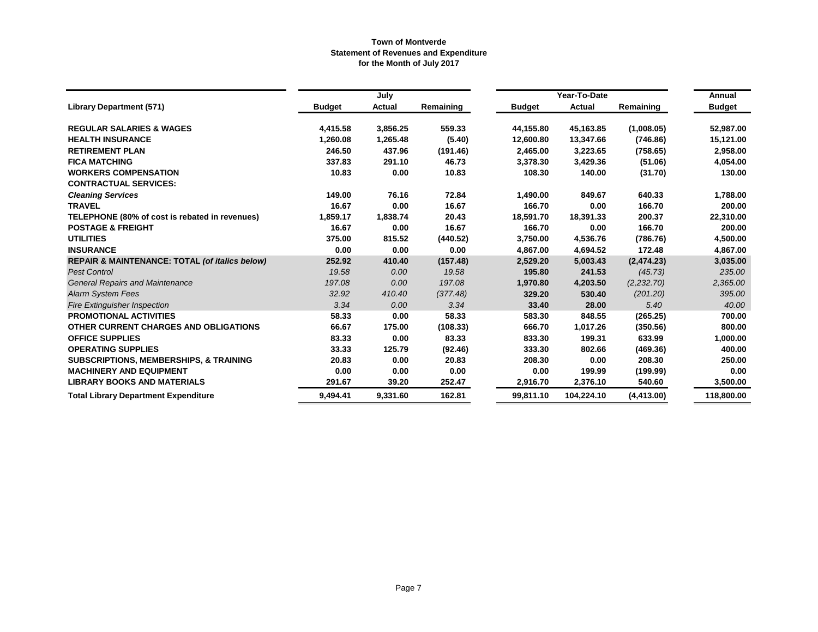|                                                           |               | July          |           | Year-To-Date  | Annual        |             |               |
|-----------------------------------------------------------|---------------|---------------|-----------|---------------|---------------|-------------|---------------|
| <b>Library Department (571)</b>                           | <b>Budget</b> | <b>Actual</b> | Remaining | <b>Budget</b> | <b>Actual</b> | Remaining   | <b>Budget</b> |
| <b>REGULAR SALARIES &amp; WAGES</b>                       | 4,415.58      | 3,856.25      | 559.33    | 44,155.80     | 45,163.85     | (1,008.05)  | 52,987.00     |
| <b>HEALTH INSURANCE</b>                                   | 1,260.08      | 1,265.48      | (5.40)    | 12,600.80     | 13,347.66     | (746.86)    | 15,121.00     |
| <b>RETIREMENT PLAN</b>                                    | 246.50        | 437.96        | (191.46)  | 2,465.00      | 3,223.65      | (758.65)    | 2,958.00      |
| <b>FICA MATCHING</b>                                      | 337.83        | 291.10        | 46.73     | 3,378.30      | 3,429.36      | (51.06)     | 4,054.00      |
| <b>WORKERS COMPENSATION</b>                               | 10.83         | 0.00          | 10.83     | 108.30        | 140.00        | (31.70)     | 130.00        |
| <b>CONTRACTUAL SERVICES:</b>                              |               |               |           |               |               |             |               |
| <b>Cleaning Services</b>                                  | 149.00        | 76.16         | 72.84     | 1,490.00      | 849.67        | 640.33      | 1,788.00      |
| <b>TRAVEL</b>                                             | 16.67         | 0.00          | 16.67     | 166.70        | 0.00          | 166.70      | 200.00        |
| TELEPHONE (80% of cost is rebated in revenues)            | 1,859.17      | 1,838.74      | 20.43     | 18,591.70     | 18,391.33     | 200.37      | 22,310.00     |
| <b>POSTAGE &amp; FREIGHT</b>                              | 16.67         | 0.00          | 16.67     | 166.70        | 0.00          | 166.70      | 200.00        |
| <b>UTILITIES</b>                                          | 375.00        | 815.52        | (440.52)  | 3,750.00      | 4,536.76      | (786.76)    | 4,500.00      |
| <b>INSURANCE</b>                                          | 0.00          | 0.00          | 0.00      | 4,867.00      | 4,694.52      | 172.48      | 4,867.00      |
| <b>REPAIR &amp; MAINTENANCE: TOTAL (of italics below)</b> | 252.92        | 410.40        | (157.48)  | 2,529.20      | 5,003.43      | (2,474.23)  | 3,035.00      |
| <b>Pest Control</b>                                       | 19.58         | 0.00          | 19.58     | 195.80        | 241.53        | (45.73)     | 235.00        |
| <b>General Repairs and Maintenance</b>                    | 197.08        | 0.00          | 197.08    | 1,970.80      | 4,203.50      | (2,232,70)  | 2,365.00      |
| <b>Alarm System Fees</b>                                  | 32.92         | 410.40        | (377.48)  | 329.20        | 530.40        | (201.20)    | 395.00        |
| <b>Fire Extinguisher Inspection</b>                       | 3.34          | 0.00          | 3.34      | 33.40         | 28.00         | 5.40        | 40.00         |
| <b>PROMOTIONAL ACTIVITIES</b>                             | 58.33         | 0.00          | 58.33     | 583.30        | 848.55        | (265.25)    | 700.00        |
| OTHER CURRENT CHARGES AND OBLIGATIONS                     | 66.67         | 175.00        | (108.33)  | 666.70        | 1,017.26      | (350.56)    | 800.00        |
| <b>OFFICE SUPPLIES</b>                                    | 83.33         | 0.00          | 83.33     | 833.30        | 199.31        | 633.99      | 1,000.00      |
| <b>OPERATING SUPPLIES</b>                                 | 33.33         | 125.79        | (92.46)   | 333.30        | 802.66        | (469.36)    | 400.00        |
| <b>SUBSCRIPTIONS, MEMBERSHIPS, &amp; TRAINING</b>         | 20.83         | 0.00          | 20.83     | 208.30        | 0.00          | 208.30      | 250.00        |
| <b>MACHINERY AND EQUIPMENT</b>                            | 0.00          | 0.00          | 0.00      | 0.00          | 199.99        | (199.99)    | 0.00          |
| <b>LIBRARY BOOKS AND MATERIALS</b>                        | 291.67        | 39.20         | 252.47    | 2,916.70      | 2,376.10      | 540.60      | 3,500.00      |
| <b>Total Library Department Expenditure</b>               | 9,494.41      | 9,331.60      | 162.81    | 99,811.10     | 104,224.10    | (4, 413.00) | 118,800.00    |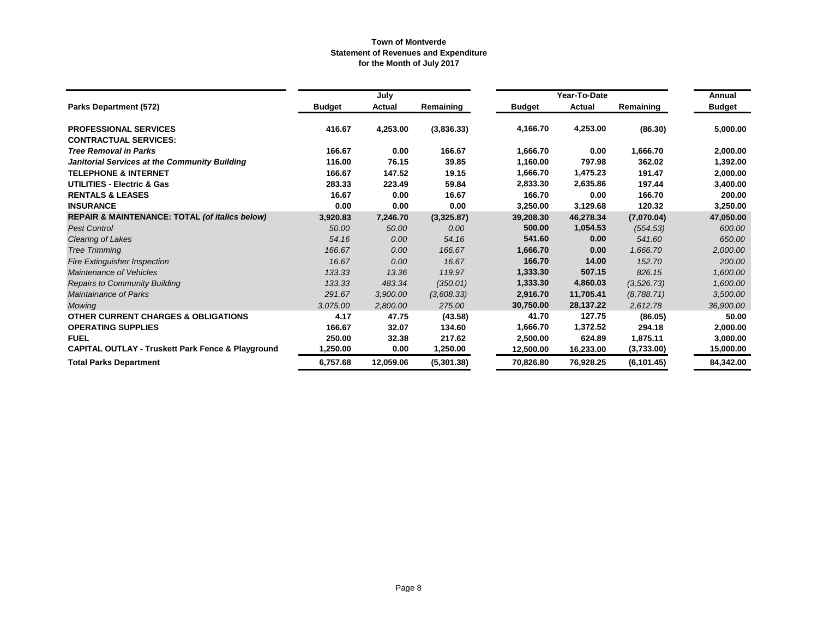|                                                              |               | July      |            |               | Year-To-Date |             | Annual        |
|--------------------------------------------------------------|---------------|-----------|------------|---------------|--------------|-------------|---------------|
| <b>Parks Department (572)</b>                                | <b>Budget</b> | Actual    | Remaining  | <b>Budget</b> | Actual       | Remaining   | <b>Budget</b> |
| <b>PROFESSIONAL SERVICES</b>                                 | 416.67        | 4,253.00  | (3,836.33) | 4,166.70      | 4,253.00     | (86.30)     | 5,000.00      |
| <b>CONTRACTUAL SERVICES:</b>                                 |               |           |            |               |              |             |               |
| <b>Tree Removal in Parks</b>                                 | 166.67        | 0.00      | 166.67     | 1,666.70      | 0.00         | 1,666.70    | 2,000.00      |
| Janitorial Services at the Community Building                | 116.00        | 76.15     | 39.85      | 1,160.00      | 797.98       | 362.02      | 1,392.00      |
| <b>TELEPHONE &amp; INTERNET</b>                              | 166.67        | 147.52    | 19.15      | 1,666.70      | 1,475.23     | 191.47      | 2,000.00      |
| UTILITIES - Electric & Gas                                   | 283.33        | 223.49    | 59.84      | 2,833.30      | 2,635.86     | 197.44      | 3,400.00      |
| <b>RENTALS &amp; LEASES</b>                                  | 16.67         | 0.00      | 16.67      | 166.70        | 0.00         | 166.70      | 200.00        |
| <b>INSURANCE</b>                                             | 0.00          | 0.00      | 0.00       | 3,250.00      | 3,129.68     | 120.32      | 3,250.00      |
| <b>REPAIR &amp; MAINTENANCE: TOTAL (of italics below)</b>    | 3,920.83      | 7,246.70  | (3,325.87) | 39,208.30     | 46,278.34    | (7,070.04)  | 47,050.00     |
| <b>Pest Control</b>                                          | 50.00         | 50.00     | 0.00       | 500.00        | 1,054.53     | (554.53)    | 600.00        |
| Clearing of Lakes                                            | 54.16         | 0.00      | 54.16      | 541.60        | 0.00         | 541.60      | 650.00        |
| <b>Tree Trimming</b>                                         | 166.67        | 0.00      | 166.67     | 1,666.70      | 0.00         | 1,666.70    | 2,000.00      |
| <b>Fire Extinguisher Inspection</b>                          | 16.67         | 0.00      | 16.67      | 166.70        | 14.00        | 152.70      | 200.00        |
| Maintenance of Vehicles                                      | 133.33        | 13.36     | 119.97     | 1,333.30      | 507.15       | 826.15      | 1,600.00      |
| <b>Repairs to Community Building</b>                         | 133.33        | 483.34    | (350.01)   | 1,333.30      | 4,860.03     | (3, 526.73) | 1,600.00      |
| <b>Maintainance of Parks</b>                                 | 291.67        | 3,900.00  | (3,608.33) | 2,916.70      | 11,705.41    | (8,788.71)  | 3,500.00      |
| Mowing                                                       | 3.075.00      | 2,800.00  | 275.00     | 30,750.00     | 28,137.22    | 2,612.78    | 36,900.00     |
| <b>OTHER CURRENT CHARGES &amp; OBLIGATIONS</b>               | 4.17          | 47.75     | (43.58)    | 41.70         | 127.75       | (86.05)     | 50.00         |
| <b>OPERATING SUPPLIES</b>                                    | 166.67        | 32.07     | 134.60     | 1,666.70      | 1,372.52     | 294.18      | 2,000.00      |
| <b>FUEL</b>                                                  | 250.00        | 32.38     | 217.62     | 2,500.00      | 624.89       | 1,875.11    | 3,000.00      |
| <b>CAPITAL OUTLAY - Truskett Park Fence &amp; Playground</b> | 1,250.00      | 0.00      | 1,250.00   | 12,500.00     | 16,233.00    | (3,733.00)  | 15,000.00     |
| <b>Total Parks Department</b>                                | 6,757.68      | 12,059.06 | (5,301.38) | 70,826.80     | 76,928.25    | (6, 101.45) | 84,342.00     |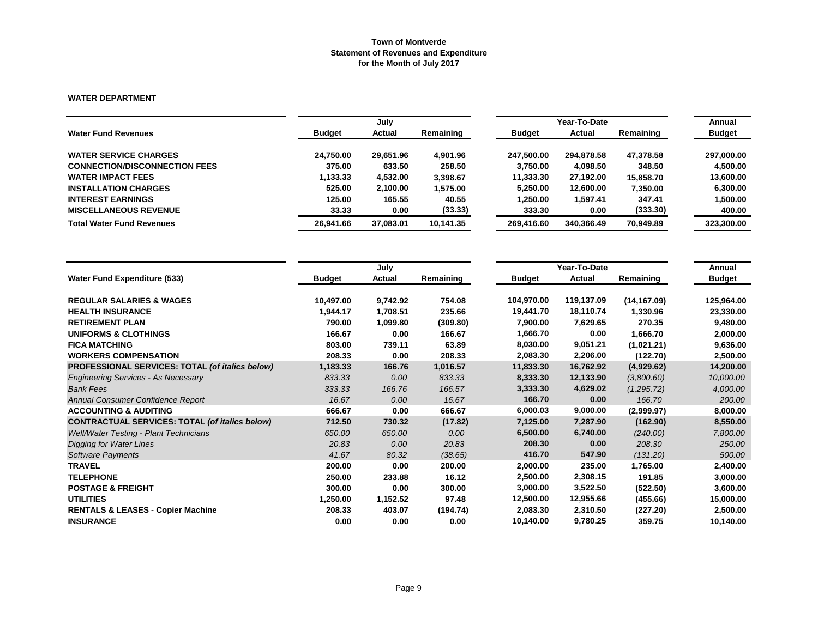### **WATER DEPARTMENT**

|               | July      |           |               | Year-To-Date |           |               |  |
|---------------|-----------|-----------|---------------|--------------|-----------|---------------|--|
| <b>Budget</b> | Actual    | Remaining | <b>Budget</b> | Actual       | Remaining | <b>Budget</b> |  |
| 24.750.00     | 29,651.96 | 4.901.96  | 247.500.00    | 294,878.58   | 47.378.58 | 297,000.00    |  |
| 375.00        | 633.50    | 258.50    | 3.750.00      | 4,098.50     | 348.50    | 4.500.00      |  |
| 1,133.33      | 4.532.00  | 3.398.67  | 11,333.30     | 27,192.00    | 15.858.70 | 13,600.00     |  |
| 525.00        | 2,100.00  | 1.575.00  | 5,250.00      | 12,600.00    | 7.350.00  | 6,300.00      |  |
| 125.00        | 165.55    | 40.55     | 1,250.00      | 1,597.41     | 347.41    | 1,500.00      |  |
| 33.33         | 0.00      | (33.33)   | 333.30        | 0.00         | (333.30)  | 400.00        |  |
| 26.941.66     | 37.083.01 | 10.141.35 | 269.416.60    | 340.366.49   | 70,949.89 | 323,300.00    |  |
|               |           |           |               |              |           |               |  |

|                                                       |               | July     |           |               | Year-To-Date |              |               |  |
|-------------------------------------------------------|---------------|----------|-----------|---------------|--------------|--------------|---------------|--|
| <b>Water Fund Expenditure (533)</b>                   | <b>Budget</b> | Actual   | Remaining | <b>Budget</b> | Actual       | Remaining    | <b>Budget</b> |  |
| <b>REGULAR SALARIES &amp; WAGES</b>                   | 10,497.00     | 9,742.92 | 754.08    | 104,970.00    | 119,137.09   | (14, 167.09) | 125,964.00    |  |
| <b>HEALTH INSURANCE</b>                               | 1,944.17      | 1,708.51 | 235.66    | 19,441.70     | 18,110.74    | 1,330.96     | 23,330.00     |  |
| <b>RETIREMENT PLAN</b>                                | 790.00        | 1,099.80 | (309.80)  | 7,900.00      | 7,629.65     | 270.35       | 9,480.00      |  |
| <b>UNIFORMS &amp; CLOTHINGS</b>                       | 166.67        | 0.00     | 166.67    | 1,666.70      | 0.00         | 1,666.70     | 2,000.00      |  |
| <b>FICA MATCHING</b>                                  | 803.00        | 739.11   | 63.89     | 8,030.00      | 9,051.21     | (1,021.21)   | 9,636.00      |  |
| <b>WORKERS COMPENSATION</b>                           | 208.33        | 0.00     | 208.33    | 2,083.30      | 2,206.00     | (122.70)     | 2,500.00      |  |
| PROFESSIONAL SERVICES: TOTAL (of italics below)       | 1,183.33      | 166.76   | 1,016.57  | 11,833.30     | 16,762.92    | (4,929.62)   | 14,200.00     |  |
| <b>Engineering Services - As Necessary</b>            | 833.33        | 0.00     | 833.33    | 8,333.30      | 12,133.90    | (3,800.60)   | 10,000.00     |  |
| <b>Bank Fees</b>                                      | 333.33        | 166.76   | 166.57    | 3,333.30      | 4,629.02     | (1,295.72)   | 4,000.00      |  |
| Annual Consumer Confidence Report                     | 16.67         | 0.00     | 16.67     | 166.70        | 0.00         | 166.70       | 200.00        |  |
| <b>ACCOUNTING &amp; AUDITING</b>                      | 666.67        | 0.00     | 666.67    | 6,000.03      | 9,000.00     | (2,999.97)   | 8,000.00      |  |
| <b>CONTRACTUAL SERVICES: TOTAL (of italics below)</b> | 712.50        | 730.32   | (17.82)   | 7,125.00      | 7,287.90     | (162.90)     | 8,550.00      |  |
| <b>Well/Water Testing - Plant Technicians</b>         | 650.00        | 650.00   | 0.00      | 6,500.00      | 6,740.00     | (240.00)     | 7,800.00      |  |
| <b>Digging for Water Lines</b>                        | 20.83         | 0.00     | 20.83     | 208.30        | 0.00         | 208.30       | 250.00        |  |
| <b>Software Payments</b>                              | 41.67         | 80.32    | (38.65)   | 416.70        | 547.90       | (131.20)     | 500.00        |  |
| <b>TRAVEL</b>                                         | 200.00        | 0.00     | 200.00    | 2,000.00      | 235.00       | 1,765.00     | 2,400.00      |  |
| <b>TELEPHONE</b>                                      | 250.00        | 233.88   | 16.12     | 2,500.00      | 2,308.15     | 191.85       | 3,000.00      |  |
| <b>POSTAGE &amp; FREIGHT</b>                          | 300.00        | 0.00     | 300.00    | 3,000.00      | 3,522.50     | (522.50)     | 3,600.00      |  |
| <b>UTILITIES</b>                                      | 1,250.00      | 1,152.52 | 97.48     | 12,500.00     | 12,955.66    | (455.66)     | 15,000.00     |  |
| <b>RENTALS &amp; LEASES - Copier Machine</b>          | 208.33        | 403.07   | (194.74)  | 2,083.30      | 2,310.50     | (227.20)     | 2,500.00      |  |
| <b>INSURANCE</b>                                      | 0.00          | 0.00     | 0.00      | 10,140.00     | 9,780.25     | 359.75       | 10,140.00     |  |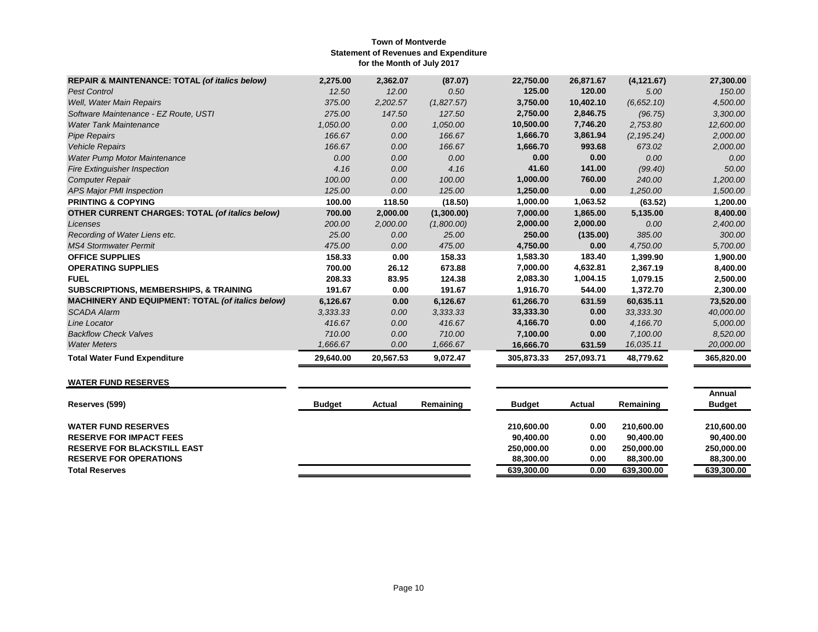| <b>REPAIR &amp; MAINTENANCE: TOTAL (of italics below)</b> | 2,275.00  | 2,362.07  | (87.07)    | 22,750.00  | 26,871.67  | (4, 121.67) | 27,300.00  |
|-----------------------------------------------------------|-----------|-----------|------------|------------|------------|-------------|------------|
| <b>Pest Control</b>                                       | 12.50     | 12.00     | 0.50       | 125.00     | 120.00     | 5.00        | 150.00     |
| Well, Water Main Repairs                                  | 375.00    | 2,202.57  | (1,827.57) | 3,750.00   | 10,402.10  | (6,652.10)  | 4,500.00   |
| Software Maintenance - EZ Route, USTI                     | 275.00    | 147.50    | 127.50     | 2,750.00   | 2,846.75   | (96.75)     | 3,300.00   |
| <b>Water Tank Maintenance</b>                             | 1,050.00  | 0.00      | 1,050.00   | 10,500.00  | 7,746.20   | 2,753.80    | 12,600.00  |
| <b>Pipe Repairs</b>                                       | 166.67    | 0.00      | 166.67     | 1,666.70   | 3,861.94   | (2, 195.24) | 2,000.00   |
| <b>Vehicle Repairs</b>                                    | 166.67    | 0.00      | 166.67     | 1,666.70   | 993.68     | 673.02      | 2,000.00   |
| <b>Water Pump Motor Maintenance</b>                       | 0.00      | 0.00      | 0.00       | 0.00       | 0.00       | 0.00        | 0.00       |
| <b>Fire Extinguisher Inspection</b>                       | 4.16      | 0.00      | 4.16       | 41.60      | 141.00     | (99.40)     | 50.00      |
| <b>Computer Repair</b>                                    | 100.00    | 0.00      | 100.00     | 1,000.00   | 760.00     | 240.00      | 1,200.00   |
| <b>APS Major PMI Inspection</b>                           | 125.00    | 0.00      | 125.00     | 1,250.00   | 0.00       | 1,250.00    | 1,500.00   |
| <b>PRINTING &amp; COPYING</b>                             | 100.00    | 118.50    | (18.50)    | 1,000.00   | 1,063.52   | (63.52)     | 1,200.00   |
| <b>OTHER CURRENT CHARGES: TOTAL (of italics below)</b>    | 700.00    | 2,000.00  | (1,300.00) | 7,000.00   | 1,865.00   | 5,135.00    | 8,400.00   |
| Licenses                                                  | 200.00    | 2,000.00  | (1,800.00) | 2,000.00   | 2,000.00   | 0.00        | 2,400.00   |
| Recording of Water Liens etc.                             | 25.00     | 0.00      | 25.00      | 250.00     | (135.00)   | 385.00      | 300.00     |
| <b>MS4 Stormwater Permit</b>                              | 475.00    | 0.00      | 475.00     | 4,750.00   | 0.00       | 4,750.00    | 5,700.00   |
| <b>OFFICE SUPPLIES</b>                                    | 158.33    | 0.00      | 158.33     | 1,583.30   | 183.40     | 1,399.90    | 1,900.00   |
| <b>OPERATING SUPPLIES</b>                                 | 700.00    | 26.12     | 673.88     | 7,000.00   | 4,632.81   | 2,367.19    | 8,400.00   |
| <b>FUEL</b>                                               | 208.33    | 83.95     | 124.38     | 2,083.30   | 1,004.15   | 1,079.15    | 2,500.00   |
| <b>SUBSCRIPTIONS, MEMBERSHIPS, &amp; TRAINING</b>         | 191.67    | 0.00      | 191.67     | 1,916.70   | 544.00     | 1,372.70    | 2,300.00   |
| <b>MACHINERY AND EQUIPMENT: TOTAL (of italics below)</b>  | 6,126.67  | 0.00      | 6,126.67   | 61,266.70  | 631.59     | 60,635.11   | 73,520.00  |
| <b>SCADA Alarm</b>                                        | 3,333.33  | 0.00      | 3,333.33   | 33,333.30  | 0.00       | 33,333.30   | 40,000.00  |
| Line Locator                                              | 416.67    | 0.00      | 416.67     | 4,166.70   | 0.00       | 4,166.70    | 5,000.00   |
| <b>Backflow Check Valves</b>                              | 710.00    | 0.00      | 710.00     | 7,100.00   | 0.00       | 7,100.00    | 8,520.00   |
| <b>Water Meters</b>                                       | 1,666.67  | 0.00      | 1,666.67   | 16,666.70  | 631.59     | 16,035.11   | 20,000.00  |
| <b>Total Water Fund Expenditure</b>                       | 29,640.00 | 20,567.53 | 9,072.47   | 305,873.33 | 257,093.71 | 48,779.62   | 365,820.00 |

# **WATER FUND RESERVES**

| Reserves (599)                     | <b>Budget</b> | Actual | Remaining | <b>Budget</b> | Actual | Remaining  | Annual<br><b>Budget</b> |
|------------------------------------|---------------|--------|-----------|---------------|--------|------------|-------------------------|
| <b>WATER FUND RESERVES</b>         |               |        |           | 210.600.00    | 0.00   | 210.600.00 | 210.600.00              |
| <b>RESERVE FOR IMPACT FEES</b>     |               |        |           | 90.400.00     | 0.00   | 90.400.00  | 90.400.00               |
| <b>RESERVE FOR BLACKSTILL EAST</b> |               |        |           | 250,000,00    | 0.00   | 250.000.00 | 250.000.00              |
| <b>RESERVE FOR OPERATIONS</b>      |               |        |           | 88.300.00     | 0.00   | 88.300.00  | 88,300,00               |
| <b>Total Reserves</b>              |               |        |           | 639.300.00    | 0.00   | 639.300.00 | 639,300.00              |
|                                    |               |        |           |               |        |            |                         |